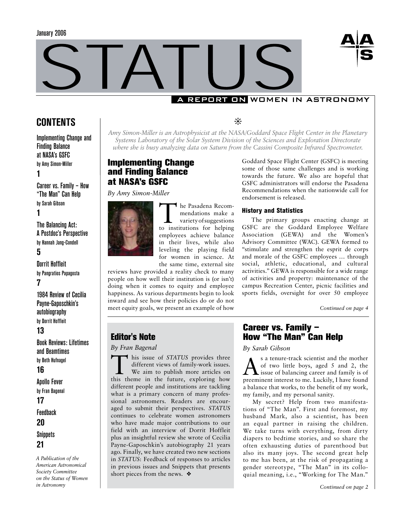



# **CONTENTS**

Implementing Change and Finding Balance at NASA's GSFC by Amy Simon-Miller

# **1**

Career vs. Family – How "The Man" Can Help by Sarah Gibson **1**

The Balancing Act: A Postdoc's Perspective by Hannah Jang-Condell

# **5**

Dorrit Hoffleit by Pangratios Papagosta **7**

1984 Review of Cecilia Payne-Gaposchkin's autobiography by Dorrit Hoffleit

# **13**

Book Reviews: Lifetimes and Beamtimes by Beth Hufnagel

# **16**

Apollo Fever by Fran Bagenal **17** Feedback

**20**

**Snippets 21**

*A Publication of the American Astronomical Society Committee on the Status of Women in Astronomy*

❊

*Amy Simon-Miller is an Astrophysicist at the NASA/Goddard Space Flight Center in the Planetary Systems Laboratory of the Solar System Division of the Sciences and Exploration Directorate where she is busy analyzing data on Saturn from the Cassini Composite Infrared Spectrometer.*

# Implementing Change and Finding Balance at NASA's GSFC

*By Amy Simon-Miller* 



Editor's Note *By Fran Bagenal*

short pieces from the news. ❖

The Pasadena Recom-<br>
mendations make a<br>
variety of suggestions<br>
to institutions for belowing mendations make a to institutions for helping employees achieve balance in their lives, while also leveling the playing field for women in science. At the same time, external site

reviews have provided a reality check to many people on how well their institution is (or isn't) doing when it comes to equity and employee happiness. As various departments begin to look inward and see how their policies do or do not meet equity goals, we present an example of how

I his issue of *STATUS* provides three different views of family-work issues. We aim to publish more articles on this theme in the future, exploring how different people and institutions are tackling what is a primary concern of many professional astronomers. Readers are encouraged to submit their perspectives. *STATUS*  continues to celebrate women astronomers who have made major contributions to our field with an interview of Dorrit Hoffleit plus an insightful review she wrote of Cecilia Payne-Gaposchkin's autobiography 21 years ago. Finally, we have created two new sections in *STATUS*: Feedback of responses to articles in previous issues and Snippets that presents

Goddard Space Flight Center (GSFC) is meeting some of those same challenges and is working towards the future. We also are hopeful that GSFC administrators will endorse the Pasadena Recommendations when the nationwide call for endorsement is released.

### History and Statistics

The primary groups enacting change at GSFC are the Goddard Employee Welfare Association (GEWA) and the Women's Advisory Committee (WAC). GEWA formed to "stimulate and strengthen the esprit de corps and morale of the GSFC employees … through social, athletic, educational, and cultural activities." GEWA is responsible for a wide range of activities and property: maintenance of the campus Recreation Center, picnic facilities and sports fields, oversight for over 50 employee

*Continued on page 4*

# Career vs. Family – How "The Man" Can Help

*By Sarah Gibson* 

 $\sum_{s}^{s}$  a tenure-track scientist and the mother<br>of two little boys, aged 5 and 2, the<br>issue of balancing career and family is of of two little boys, aged 5 and 2, the  $\blacktriangle$  issue of balancing career and family is of preeminent interest to me. Luckily, I have found a balance that works, to the benefit of my work, my family, and my personal sanity.

My secret? Help from two manifestations of "The Man". First and foremost, my husband Mark, also a scientist, has been an equal partner in raising the children. We take turns with everything, from dirty diapers to bedtime stories, and so share the often exhausting duties of parenthood but also its many joys. The second great help to me has been, at the risk of propagating a gender stereotype, "The Man" in its colloquial meaning, i.e., "Working for The Man."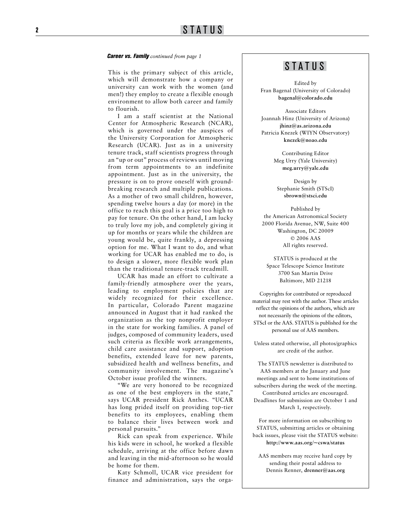#### *Career vs. Family continued from page 1*

This is the primary subject of this article,  $\begin{array}{c} \hline \text{S} \text{TA} \text{T} \text{U} \text{S} \end{array}$ which will demonstrate how a company or university can work with the women (and men!) they employ to create a flexible enough environment to allow both career and family to flourish.

I am a staff scientist at the National Center for Atmospheric Research (NCAR), which is governed under the auspices of the University Corporation for Atmospheric Research (UCAR). Just as in a university tenure track, staff scientists progress through an "up or out" process of reviews until moving from term appointments to an indefinite appointment. Just as in the university, the pressure is on to prove oneself with groundbreaking research and multiple publications. As a mother of two small children, however, spending twelve hours a day (or more) in the office to reach this goal is a price too high to pay for tenure. On the other hand, I am lucky to truly love my job, and completely giving it up for months or years while the children are young would be, quite frankly, a depressing option for me. What I want to do, and what working for UCAR has enabled me to do, is to design a slower, more flexible work plan than the traditional tenure-track treadmill.

UCAR has made an effort to cultivate a family-friendly atmosphere over the years, leading to employment policies that are widely recognized for their excellence. In particular, Colorado Parent magazine announced in August that it had ranked the organization as the top nonprofit employer in the state for working families. A panel of judges, composed of community leaders, used such criteria as flexible work arrangements, child care assistance and support, adoption benefits, extended leave for new parents, subsidized health and wellness benefits, and community involvement. The magazine's October issue profiled the winners.

"We are very honored to be recognized as one of the best employers in the state," says UCAR president Rick Anthes. "UCAR has long prided itself on providing top-tier benefits to its employees, enabling them to balance their lives between work and personal pursuits."

Rick can speak from experience. While his kids were in school, he worked a flexible schedule, arriving at the office before dawn and leaving in the mid-afternoon so he would be home for them.

Katy Schmoll, UCAR vice president for finance and administration, says the orga -

Edited by Fran Bagenal (University of Colorado) **bagenal@colorado.edu**

Associate Editors Joannah Hinz (University of Arizona) **jhinz@as.arizona.edu** Patricia Knezek (WIYN Observatory) **knezek@noao.edu**

> Contributing Editor Meg Urry (Yale University) **meg.urry@yale.edu**

Design by Stephanie Smith (STScI) **sbrown@stsci.edu**

Published by the American Astronomical Society 2000 Florida Avenue, NW, Suite 400 Washington, DC 20009 © 2006 AAS All rights reserved.

STATUS is produced at the Space Telescope Science Institute 3700 San Martin Drive Baltimore, MD 21218

Copyrights for contributed or reproduced material may rest with the author. These articles reflect the opinions of the authors, which are not necessarily the opinions of the editors, STScI or the AAS. STATUS is published for the personal use of AAS members.

Unless stated otherwise, all photos/graphics are credit of the author.

The STATUS newsletter is distributed to AAS members at the January and June meetings and sent to home institutions of subscribers during the week of the meeting. Contributed articles are encouraged. Deadlines for submission are October 1 and March 1, respectively.

For more information on subscribing to STATUS, submitting articles or obtaining back issues, please visit the STATUS website: **http://www.aas.org/~cswa/status**

AAS members may receive hard copy by sending their postal address to Dennis Renner, **drenner@aas.org**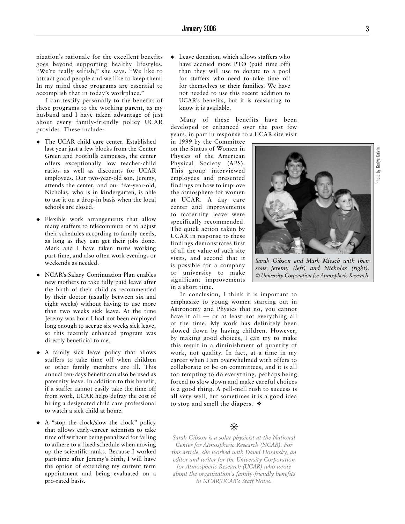nization's rationale for the excellent benefits goes beyond supporting healthy lifestyles. "We're really selfish," she says. "We like to attract good people and we like to keep them. In my mind these programs are essential to accomplish that in today's workplace."

I can testify personally to the benefits of these programs to the working parent, as my husband and I have taken advantage of just about every family-friendly policy UCAR provides. These include:

- ◆ The UCAR child care center. Established last year just a few blocks from the Center Green and Foothills campuses, the center offers exceptionally low teacher-child ratios as well as discounts for UCAR employees. Our two-year-old son, Jeremy, attends the center, and our five-year-old, Nicholas, who is in kindergarten, is able to use it on a drop-in basis when the local schools are closed.
- Flexible work arrangements that allow many staffers to telecommute or to adjust their schedules according to family needs, as long as they can get their jobs done. Mark and I have taken turns working part-time, and also often work evenings or weekends as needed. ◆
- NCAR's Salary Continuation Plan enables new mothers to take fully paid leave after the birth of their child as recommended by their doctor (usually between six and eight weeks) without having to use more than two weeks sick leave. At the time Jeremy was born I had not been employed long enough to accrue six weeks sick leave, so this recently enhanced program was directly beneficial to me. ◆
- ◆ A family sick leave policy that allows staffers to take time off when children or other family members are ill. This annual ten-days benefit can also be used as paternity leave. In addition to this benefit, if a staffer cannot easily take the time off from work, UCAR helps defray the cost of hiring a designated child care professional to watch a sick child at home.
- A "stop the clock/slow the clock" policy that allows early-career scientists to take time off without being penalized for failing to adhere to a fixed schedule when moving up the scientific ranks. Because I worked part-time after Jeremy's birth, I will have the option of extending my current term appointment and being evaluated on a pro-rated basis. ◆

Leave donation, which allows staffers who have accrued more PTO (paid time off) than they will use to donate to a pool for staffers who need to take time off for themselves or their families. We have not needed to use this recent addition to UCAR's benefits, but it is reassuring to know it is available. ◆

Many of these benefits have been developed or enhanced over the past few years, in part in response to a UCAR site visit

in 1999 by the Committee on the Status of Women in Physics of the American Physical Society (APS). This group interviewed employees and presented findings on how to improve the atmosphere for women at UCAR. A day care center and improvements to maternity leave were specifically recommended. The quick action taken by UCAR in response to these findings demonstrates first of all the value of such site visits, and second that it is possible for a company or university to make significant improvements in a short time.

In conclusion, I think it is important to emphasize to young women starting out in Astronomy and Physics that no, you cannot have it all — or at least not everything all of the time. My work has definitely been slowed down by having children. However, by making good choices, I can try to make this result in a diminishment of quantity of work, not quality. In fact, at a time in my career when I am overwhelmed with offers to collaborate or be on committees, and it is all too tempting to do everything, perhaps being forced to slow down and make careful choices is a good thing. A pell-mell rush to success is all very well, but sometimes it is a good idea to stop and smell the diapers. ❖

# ❊

*Sarah Gibson is a solar physicist at the National Center for Atmospheric Research (NCAR). For this article, she worked with David Hosansky, an editor and writer for the University Corporation for Atmospheric Research (UCAR) who wrote about the organization's family-friendly benefits in NCAR/UCAR's Staff Notes.*



*Sarah Gibson and Mark Miesch with their sons Jeremy (left) and Nicholas (right). © University Corporation for Atmospheric Research*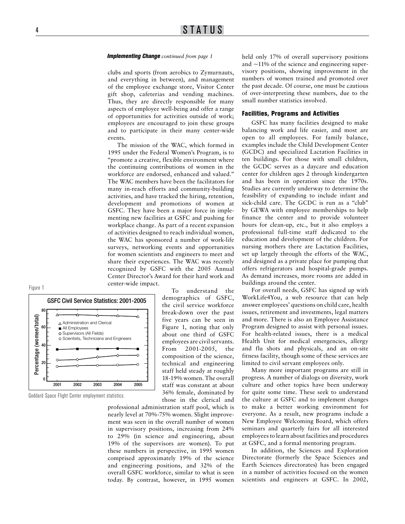#### *Implementing Change continued from page 1*

clubs and sports (from aerobics to Zymurnauts, and everything in between), and management of the employee exchange store, Visitor Center gift shop, cafeterias and vending machines. Thus, they are directly responsible for many aspects of employee well-being and offer a range of opportunities for activities outside of work; employees are encouraged to join these groups and to participate in their many center-wide events.

The mission of the WAC, which formed in 1995 under the Federal Women's Program, is to "promote a creative, flexible environment where the continuing contributions of women in the workforce are endorsed, enhanced and valued." The WAC members have been the facilitators for many in-reach efforts and community-building activities, and have tracked the hiring, retention, development and promotions of women at GSFC. They have been a major force in implementing new facilities at GSFC and pushing for workplace change. As part of a recent expansion of activities designed to reach individual women, the WAC has sponsored a number of work-life surveys, networking events and opportunities for women scientists and engineers to meet and share their experiences. The WAC was recently recognized by GSFC with the 2005 Annual Center Director's Award for their hard work and center-wide impact.





Goddard Space Flight Center employment statistics.

To understand the demographics of GSFC, the civil service workforce break-down over the past five years can be seen in Figure 1, noting that only about one third of GSFC employees are civil servants. From 2001-2005, the composition of the science, technical and engineering staff held steady at roughly 18-19% women. The overall staff was constant at about 36% female, dominated by those in the clerical and

professional administration staff pool, which is nearly level at 70%-75% women. Slight improvement was seen in the overall number of women in supervisory positions, increasing from 24% to 29% (in science and engineering, about 19% of the supervisors are women). To put these numbers in perspective, in 1995 women comprised approximately 19% of the science and engineering positions, and 32% of the overall GSFC workforce, similar to what is seen today. By contrast, however, in 1995 women held only 17% of overall supervisory positions and  $\sim$ 11% of the science and engineering supervisory positions, showing improvement in the numbers of women trained and promoted over the past decade. Of course, one must be cautious of over-interpreting these numbers, due to the small number statistics involved.

#### Facilities, Programs and Activities

GSFC has many facilities designed to make balancing work and life easier, and most are open to all employees. For family balance, examples include the Child Development Center (GCDC) and specialized Lactation Facilities in ten buildings. For those with small children, the GCDC serves as a daycare and education center for children ages 2 through kindergarten and has been in operation since the 1970s. Studies are currently underway to determine the feasibility of expanding to include infant and sick-child care. The GCDC is run as a "club" by GEWA with employee memberships to help finance the center and to provide volunteer hours for clean-up, etc., but it also employs a professional full-time staff dedicated to the education and development of the children. For nursing mothers there are Lactation Facilities, set up largely through the efforts of the WAC, and designed as a private place for pumping that offers refrigerators and hospital-grade pumps. As demand increases, more rooms are added in buildings around the center.

For overall needs, GSFC has signed up with WorkLife4You, a web resource that can help answer employees' questions on child care, health issues, retirement and investments, legal matters and more. There is also an Employee Assistance Program designed to assist with personal issues. For health-related issues, there is a medical Health Unit for medical emergencies, allergy and flu shots and physicals, and an on-site fitness facility, though some of these services are limited to civil servant employees only.

Many more important programs are still in progress. A number of dialogs on diversity, work culture and other topics have been underway for quite some time. These seek to understand the culture at GSFC and to implement changes to make a better working environment for everyone. As a result, new programs include a New Employee Welcoming Board, which offers seminars and quarterly fairs for all interested employees to learn about facilities and procedures at GSFC, and a formal mentoring program.

In addition, the Sciences and Exploration Directorate (formerly the Space Sciences and Earth Sciences directorates) has been engaged in a number of activities focused on the women scientists and engineers at GSFC. In 2002,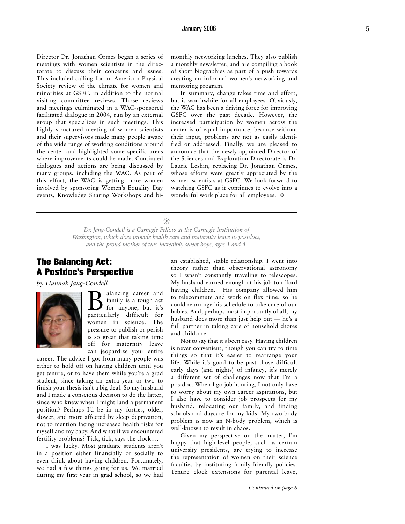Director Dr. Jonathan Ormes began a series of meetings with women scientists in the directorate to discuss their concerns and issues. This included calling for an American Physical Society review of the climate for women and minorities at GSFC, in addition to the normal visiting committee reviews. Those reviews and meetings culminated in a WAC-sponsored facilitated dialogue in 2004, run by an external group that specializes in such meetings. This highly structured meeting of women scientists and their supervisors made many people aware of the wide range of working conditions around the center and highlighted some specific areas where improvements could be made. Continued dialogues and actions are being discussed by many groups, including the WAC. As part of this effort, the WAC is getting more women involved by sponsoring Women's Equality Day events, Knowledge Sharing Workshops and bimonthly networking lunches. They also publish a monthly newsletter, and are compiling a book of short biographies as part of a push towards creating an informal women's networking and mentoring program.

In summary, change takes time and effort, but is worthwhile for all employees. Obviously, the WAC has been a driving force for improving GSFC over the past decade. However, the increased participation by women across the center is of equal importance, because without their input, problems are not as easily identified or addressed. Finally, we are pleased to announce that the newly appointed Director of the Sciences and Exploration Directorate is Dr. Laurie Leshin, replacing Dr. Jonathan Ormes, whose efforts were greatly appreciated by the women scientists at GSFC. We look forward to watching GSFC as it continues to evolve into a wonderful work place for all employees. ❖

❊

*Dr. Jang-Condell is a Carnegie Fellow at the Carnegie Institution of Washington, which does provide health care and maternity leave to postdocs, and the proud mother of two incredibly sweet boys, ages 1 and 4.*

# The Balancing Act: A Postdoc's Perspective

*by Hannah Jang-Condell*



 $\sum_{\substack{\text{family is a tough act}}}\n \sum_{\substack{\text{for anyone, but it's} \text{first}}}$ family is a tough act particularly difficult for women in science. The pressure to publish or perish is so great that taking time off for maternity leave can jeopardize your entire

career. The advice I got from many people was either to hold off on having children until you get tenure, or to have them while you're a grad student, since taking an extra year or two to finish your thesis isn't a big deal. So my husband and I made a conscious decision to do the latter, since who knew when I might land a permanent position? Perhaps I'd be in my forties, older, slower, and more affected by sleep deprivation, not to mention facing increased health risks for myself and my baby. And what if we encountered fertility problems? Tick, tick, says the clock….

I was lucky. Most graduate students aren't in a position either financially or socially to even think about having children. Fortunately, we had a few things going for us. We married during my first year in grad school, so we had an established, stable relationship. I went into theory rather than observational astronomy so I wasn't constantly traveling to telescopes. My husband earned enough at his job to afford having children. His company allowed him to telecommute and work on flex time, so he could rearrange his schedule to take care of our babies. And, perhaps most importantly of all, my husband does more than just help out — he's a full partner in taking care of household chores and childcare.

Not to say that it's been easy. Having children is never convenient, though you can try to time things so that it's easier to rearrange your life. While it's good to be past those difficult early days (and nights) of infancy, it's merely a different set of challenges now that I'm a postdoc. When I go job hunting, I not only have to worry about my own career aspirations, but I also have to consider job prospects for my husband, relocating our family, and finding schools and daycare for my kids. My two-body problem is now an N-body problem, which is well-known to result in chaos.

Given my perspective on the matter, I'm happy that high-level people, such as certain university presidents, are trying to increase the representation of women on their science faculties by instituting family-friendly policies. Tenure clock extensions for parental leave,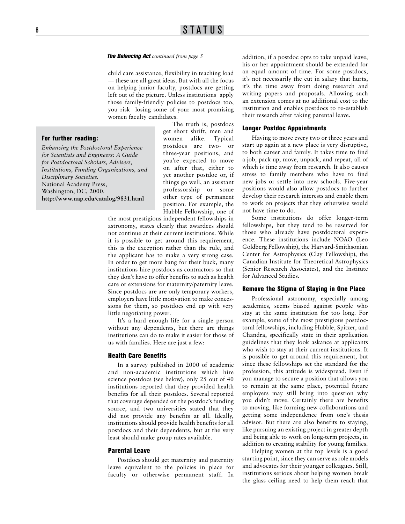#### *The Balancing Act continued from page 5*

child care assistance, flexibility in teaching load — these are all great ideas. But with all the focus on helping junior faculty, postdocs are getting left out of the picture. Unless institutions apply those family-friendly policies to postdocs too, you risk losing some of your most promising women faculty candidates.

#### For further reading:

*Enhancing the Postdoctoral Experience for Scientists and Engineers: A Guide for Postdoctoral Scholars, Advisers, Institutions, Funding Organizations, and Disciplinary Societies.*  National Academy Press, Washington, DC, 2000. **http://www.nap.edu/catalog/9831.html** 

The truth is, postdocs get short shrift, men and women alike. Typical postdocs are two- or three-year positions, and you're expected to move on after that, either to yet another postdoc or, if things go well, an assistant professorship or some other type of permanent position. For example, the Hubble Fellowship, one of

the most prestigious independent fellowships in astronomy, states clearly that awardees should not continue at their current institutions. While it is possible to get around this requirement, this is the exception rather than the rule, and the applicant has to make a very strong case. In order to get more bang for their buck, many institutions hire postdocs as contractors so that they don't have to offer benefits to such as health care or extensions for maternity/paternity leave. Since postdocs are are only temporary workers, employers have little motivation to make concessions for them, so postdocs end up with very little negotiating power.

It's a hard enough life for a single person without any dependents, but there are things institutions can do to make it easier for those of us with families. Here are just a few:

#### Health Care Benefits

In a survey published in 2000 of academic and non-academic institutions which hire science postdocs (see below), only 25 out of 40 institutions reported that they provided health benefits for all their postdocs. Several reported that coverage depended on the postdoc's funding source, and two universities stated that they did not provide any benefits at all. Ideally, institutions should provide health benefits for all postdocs and their dependents, but at the very least should make group rates available.

#### Parental Leave

Postdocs should get maternity and paternity leave equivalent to the policies in place for faculty or otherwise permanent staff. In

addition, if a postdoc opts to take unpaid leave, his or her appointment should be extended for an equal amount of time. For some postdocs, it's not necessarily the cut in salary that hurts, it's the time away from doing research and writing papers and proposals. Allowing such an extension comes at no additional cost to the institution and enables postdocs to re-establish their research after taking parental leave.

#### Longer Postdoc Appointments

Having to move every two or three years and start up again at a new place is very disruptive, to both career and family. It takes time to find a job, pack up, move, unpack, and repeat, all of which is time away from research. It also causes stress to family members who have to find new jobs or settle into new schools. Five-year positions would also allow postdocs to further develop their research interests and enable them to work on projects that they otherwise would not have time to do.

Some institutions do offer longer-term fellowships, but they tend to be reserved for those who already have postdoctoral experience. These institutions include NOAO (Leo Goldberg Fellowship), the Harvard-Smithsonian Center for Astrophysics (Clay Fellowship), the Canadian Institute for Theoretical Astrophysics (Senior Research Associates), and the Institute for Advanced Studies.

#### Remove the Stigma of Staying in One Place

Professional astronomy, especially among academics, seems biased against people who stay at the same institution for too long. For example, some of the most prestigious postdoctoral fellowships, including Hubble, Spitzer, and Chandra, specifically state in their application guidelines that they look askance at applicants who wish to stay at their current institutions. It is possible to get around this requirement, but since these fellowships set the standard for the profession, this attitude is widespread. Even if you manage to secure a position that allows you to remain at the same place, potential future employers may still bring into question why you didn't move. Certainly there are benefits to moving, like forming new collaborations and getting some independence from one's thesis advisor. But there are also benefits to staying, like pursuing an existing project in greater depth and being able to work on long-term projects, in addition to creating stability for young families.

Helping women at the top levels is a good starting point, since they can serve as role models and advocates for their younger colleagues. Still, institutions serious about helping women break the glass ceiling need to help them reach that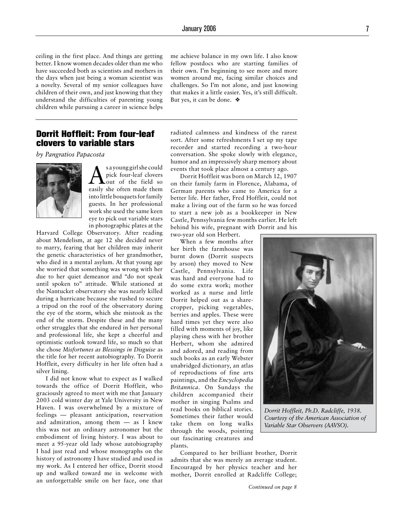ceiling in the first place. And things are getting better. I know women decades older than me who have succeeded both as scientists and mothers in the days when just being a woman scientist was a novelty. Several of my senior colleagues have children of their own, and just knowing that they understand the difficulties of parenting young children while pursuing a career in science helps me achieve balance in my own life. I also know fellow postdocs who are starting families of their own. I'm beginning to see more and more women around me, facing similar choices and challenges. So I'm not alone, and just knowing that makes it a little easier. Yes, it's still difficult. But yes, it can be done. ❖

# Dorrit Hoffleit: From four-leaf clovers to variable stars

*by Pangratios Papacosta* 



s a young girl she could pick four-leaf clovers out of the field so easily she often made them into little bouquets for family guests. In her professional work she used the same keen eye to pick out variable stars in photographic plates at the

Harvard College Observatory. After reading about Mendelism, at age 12 she decided never to marry, fearing that her children may inherit the genetic characteristics of her grandmother, who died in a mental asylum. At that young age she worried that something was wrong with her due to her quiet demeanor and "do not speak until spoken to" attitude. While stationed at the Nantucket observatory she was nearly killed during a hurricane because she rushed to secure a tripod on the roof of the observatory during the eye of the storm, which she mistook as the end of the storm. Despite these and the many other struggles that she endured in her personal and professional life, she kept a cheerful and optimistic outlook toward life, so much so that she chose *Misfortunes as Blessings in Disguise* as the title for her recent autobiography. To Dorrit Hoffleit, every difficulty in her life often had a silver lining.

I did not know what to expect as I walked towards the office of Dorrit Hoffleit, who graciously agreed to meet with me that January 2003 cold winter day at Yale University in New Haven. I was overwhelmed by a mixture of feelings — pleasant anticipation, reservation and admiration, among them — as I knew this was not an ordinary astronomer but the embodiment of living history. I was about to meet a 95-year old lady whose autobiography I had just read and whose monographs on the history of astronomy I have studied and used in my work. As I entered her office, Dorrit stood up and walked toward me in welcome with an unforgettable smile on her face, one that radiated calmness and kindness of the rarest sort. After some refreshments I set up my tape recorder and started recording a two-hour conversation. She spoke slowly with elegance, humor and an impressively sharp memory about events that took place almost a century ago.

Dorrit Hoffleit was born on March 12, 1907 on their family farm in Florence, Alabama, of German parents who came to America for a better life. Her father, Fred Hoffleit, could not make a living out of the farm so he was forced to start a new job as a bookkeeper in New Castle, Pennsylvania few months earlier. He left behind his wife, pregnant with Dorrit and his two-year old son Herbert.

When a few months after her birth the farmhouse was burnt down (Dorrit suspects by arson) they moved to New Castle, Pennsylvania. Life was hard and everyone had to do some extra work; mother worked as a nurse and little Dorrit helped out as a sharecropper, picking vegetables, berries and apples. These were hard times yet they were also filled with moments of joy, like playing chess with her brother Herbert, whom she admired and adored, and reading from such books as an early Webster unabridged dictionary, an atlas of reproductions of fine arts paintings, and the *Encyclopedia Britannica*. On Sundays the children accompanied their mother in singing Psalms and read books on biblical stories. Sometimes their father would take them on long walks through the woods, pointing out fascinating creatures and plants.

Compared to her brilliant brother, Dorrit admits that she was merely an average student. Encouraged by her physics teacher and her mother, Dorrit enrolled at Radcliffe College;



*Dorrit Hoffleit, Ph.D. Radcliffe, 1938. Courtesy of the American Association of Variable Star Observers (AAVSO).*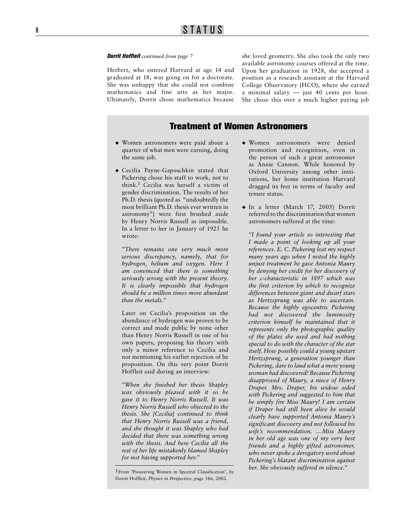### *Dorrit Hoffleit continued from page 7*

Herbert, who entered Harvard at age 14 and graduated at 18, was going on for a doctorate. She was unhappy that she could not combine mathematics and fine arts as her major. Ultimately, Dorrit chose mathematics because she loved geometry. She also took the only two available astronomy courses offered at the time. Upon her graduation in 1928, she accepted a position as a research assistant at the Harvard College Observatory (HCO), where she earned a minimal salary — just 40 cents per hour. She chose this over a much higher paying job

# Treatment of Women Astronomers

- Women astronomers were paid about a quarter of what men were earning, doing the same job.
- Cecilia Payne-Gaposchkin stated that Pickering chose his staff to work, not to think. 1 Cecilia was herself a victim of gender discrimination. The results of her Ph.D. thesis (quoted as "undoubtedly the most brilliant Ph.D. thesis ever written in astronomy") were first brushed aside by Henry Norris Russell as impossible. In a letter to her in January of 1925 he wrote:

*"There remains one very much more serious discrepancy, namely, that for hydrogen, helium and oxygen. Here I am convinced that there is something seriously wrong with the present theory. It is clearly impossible that hydrogen should be a million times more abundant than the metals."* 

Later on Cecilia's proposition on the abundance of hydrogen was proven to be correct and made public by none other than Henry Norris Russell in one of his own papers, proposing his theory with only a minor reference to Cecilia and not mentioning his earlier rejection of he proposition. On this very point Dorrit Hoffleit said during an interview:

*"When she finished her thesis Shapley was obviously pleased with it so he gave it to Henry Norris Russell. It was Henry Norris Russell who objected to the thesis. She [Cecilia] continued to think that Henry Norris Russell was a friend, and she thought it was Shapley who had decided that there was something wrong with the thesis. And here Cecilia all the rest of her life mistakenly blamed Shapley for not having supported her."*  ■ Women astronomers were paid about a<br>
quarter of what men were earning, doing<br>
the same job.<br>
<br>
• Cecilia Payne-Gaposchkin stated that<br>
Pickering chose his staff to work, not to<br>
think,<sup>1</sup> Cecilia was herself a victim of

- Women astronomers were denied promotion and recognition, even in the person of such a great astronomer as Annie Cannon. While honored by Oxford University among other insti tutions, her home institution Harvard dragged its feet in terms of faculty and tenure status. ◆<br>◆<br>◆
- In a letter (March 17, 2005) Dorrit referred to the discrimination that women astronomers suffered at the time:

*"I found your article so interesting that I made a point of looking up all your references. E. C. Pickering lost my respect many years ago when I noted the highly unjust treatment he gave Antonia Maury by denying her credit for her discovery of her c-characteristic in 1897 which was the first criterion by which to recognize differences between giant and dwarf stars as Hertzsprung was able to ascertain. Because the highly egocentric Pickering had not discovered the luminosity criterion himself he maintained that it represents only the photographic quality of the plates she used and had nothing special to do with the character of the star itself. How possibly could a young upstart Hertzsprung, a generation younger than Pickering, dare to laud what a mere young woman had discovered! Because Pickering disapproved of Maury, a niece of Henry Draper. Mrs. Draper, his widow sided with Pickering and suggested to him that he simply fire Miss Maury! I am certain if Draper had still been alive he would clearly have supported Antonia Maury's significant discovery and not followed his wife's recommendation. …Miss Maury in her old age was one of my very best friends and a highly gifted astronomer, who never spoke a derogatory word about Pickering's blatant discrimination against her. She obviously suffered in silence."*

<sup>1</sup>From "Pioneering Women in Spectral Classification", by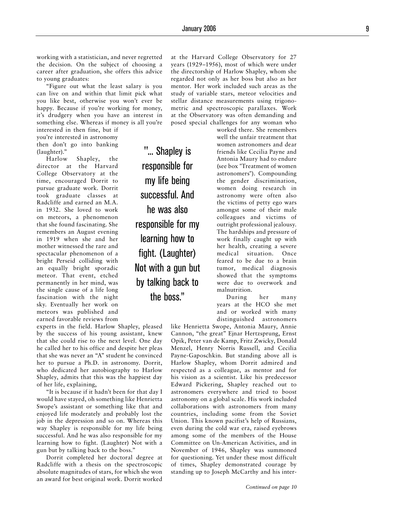working with a statistician, and never regretted the decision. On the subject of choosing a career after graduation, she offers this advice to young graduates:

"Figure out what the least salary is you can live on and within that limit pick what you like best, otherwise you won't ever be happy. Because if you're working for money, it's drudgery when you have an interest in something else. Whereas if money is all you're

interested in then fine, but if you're interested in astronomy then don't go into banking (laughter)."

Harlow Shapley, the director at the Harvard College Observatory at the time, encouraged Dorrit to pursue graduate work. Dorrit took graduate classes at Radcliffe and earned an M.A. in 1932. She loved to work on meteors, a phenomenon that she found fascinating. She remembers an August evening in 1919 when she and her mother witnessed the rare and spectacular phenomenon of a bright Perseid colliding with an equally bright sporadic meteor. That event, etched permanently in her mind, was the single cause of a life long fascination with the night sky. Eventually her work on meteors was published and earned favorable reviews from

experts in the field. Harlow Shapley, pleased by the success of his young assistant, knew that she could rise to the next level. One day he called her to his office and despite her pleas that she was never an "A" student he convinced her to pursue a Ph.D. in astronomy. Dorrit, who dedicated her autobiography to Harlow Shapley, admits that this was the happiest day of her life, explaining,

"It is because if it hadn't been for that day I would have stayed, oh something like Henrietta Swope's assistant or something like that and enjoyed life moderately and probably lost the job in the depression and so on. Whereas this way Shapley is responsible for my life being successful. And he was also responsible for my learning how to fight. (Laughter) Not with a gun but by talking back to the boss."

Dorrit completed her doctoral degree at Radcliffe with a thesis on the spectroscopic absolute magnitudes of stars, for which she won an award for best original work. Dorrit worked

"... Shapley is responsible for my life being successful. And he was also responsible for my learning how to fight. (Laughter) Not with a gun but by talking back to the boss."

at the Harvard College Observatory for 27 years (1929–1956), most of which were under the directorship of Harlow Shapley, whom she regarded not only as her boss but also as her mentor. Her work included such areas as the study of variable stars, meteor velocities and stellar distance measurements using trigono metric and spectroscopic parallaxes. Work at the Observatory was often demanding and posed special challenges for any woman who

> worked there. She remembers well the unfair treatment that women astronomers and dear friends like Cecilia Payne and Antonia Maury had to endure (see box "Treatment of women astronomers"). Compounding the gender discrimination, women doing research in astronomy were often also the victims of petty ego wars amongst some of their male colleagues and victims of outright professional jealousy. The hardships and pressure of work finally caught up with her health, creating a severe medical situation. Once feared to be due to a brain tumor, medical diagnosis showed that the symptoms were due to overwork and malnutrition.

> During her many years at the HCO she met and or worked with many distinguished astronomers

like Henrietta Swope, Antonia Maury, Annie Cannon, "the great" Ejnar Hertzsprung, Ernst Opik, Peter van de Kamp, Fritz Zwicky, Donald Menzel, Henry Norris Russell, and Cecilia Payne-Gaposchkin. But standing above all is Harlow Shapley, whom Dorrit admired and respected as a colleague, as mentor and for his vision as a scientist. Like his predecessor Edward Pickering, Shapley reached out to astronomers everywhere and tried to boost astronomy on a global scale. His work included collaborations with astronomers from many countries, including some from the Soviet Union. This known pacifist's help of Russians, even during the cold war era, raised eyebrows among some of the members of the House Committee on Un-American Activities, and in November of 1946, Shapley was summoned for questioning. Yet under these most difficult of times, Shapley demonstrated courage by standing up to Joseph McCarthy and his inter -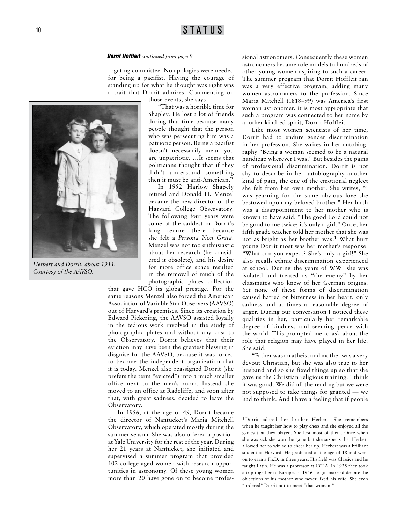# 10 STATUS

#### *Dorrit Hoffleit continued from page 9*

rogating committee. No apologies were needed for being a pacifist. Having the courage of standing up for what he thought was right was a trait that Dorrit admires. Commenting on



*Herbert and Dorrit, about 1911. Courtesy of the AAVSO.*

those events, she says,

"That was a horrible time for Shapley. He lost a lot of friends during that time because many people thought that the person who was persecuting him was a patriotic person. Being a pacifist doesn't necessarily mean you are unpatriotic. …It seems that politicians thought that if they didn't understand something then it must be anti-American."

In 1952 Harlow Shapely retired and Donald H. Menzel became the new director of the Harvard College Observatory. The following four years were some of the saddest in Dorrit's long tenure there because she felt a *Persona Non Grata*. Menzel was not too enthusiastic about her research (he considered it obsolete), and his desire for more office space resulted in the removal of much of the photographic plates collection

that gave HCO its global prestige. For the same reasons Menzel also forced the American Association of Variable Star Observers (AAVSO) out of Harvard's premises. Since its creation by Edward Pickering, the AAVSO assisted loyally in the tedious work involved in the study of photographic plates and without any cost to the Observatory. Dorrit believes that their eviction may have been the greatest blessing in disguise for the AAVSO, because it was forced to become the independent organization that it is today. Menzel also reassigned Dorrit (she prefers the term "evicted") into a much smaller office next to the men's room. Instead she moved to an office at Radcliffe, and soon after that, with great sadness, decided to leave the Observatory.

In 1956, at the age of 49, Dorrit became the director of Nantucket's Maria Mitchell Observatory, which operated mostly during the summer season. She was also offered a position at Yale University for the rest of the year. During her 21 years at Nantucket, she initiated and supervised a summer program that provided 102 college-aged women with research opportunities in astronomy. Of these young women more than 20 have gone on to become profes-

sional astronomers. Consequently these women astronomers became role models to hundreds of other young women aspiring to such a career. The summer program that Dorrit Hoffleit ran was a very effective program, adding many women astronomers to the profession. Since Maria Mitchell (1818–99) was America's first woman astronomer, it is most appropriate that such a program was connected to her name by another kindred spirit, Dorrit Hoffleit.

Like most women scientists of her time, Dorrit had to endure gender discrimination in her profession. She writes in her autobiography "Being a woman seemed to be a natural handicap wherever I was." But besides the pains of professional discrimination, Dorrit is not shy to describe in her autobiography another kind of pain, the one of the emotional neglect she felt from her own mother. She writes, "I was yearning for the same obvious love she bestowed upon my beloved brother." Her birth was a disappointment to her mother who is known to have said, "The good Lord could not be good to me twice; it's only a girl." Once, her fifth grade teacher told her mother that she was not as bright as her brother was.1 What hurt young Dorrit most was her mother's response: "What can you expect? She's only a girl!" She also recalls ethnic discrimination experienced at school. During the years of WWI she was isolated and treated as "the enemy" by her classmates who knew of her German origins. Yet none of these forms of discrimination caused hatred or bitterness in her heart, only sadness and at times a reasonable degree of anger. During our conversation I noticed these qualities in her, particularly her remarkable degree of kindness and seeming peace with the world. This prompted me to ask about the role that religion may have played in her life. She said:

"Father was an atheist and mother was a very devout Christian, but she was also true to her husband and so she fixed things up so that she gave us the Christian religious training. I think it was good. We did all the reading but we were not supposed to take things for granted — we had to think. And I have a feeling that if people

<sup>1</sup>Dorrit adored her brother Herbert. She remembers when he taught her how to play chess and she enjoyed all the games that they played. She lost most of them. Once when she was sick she won the game but she suspects that Herbert allowed her to win so to cheer her up. Herbert was a brilliant student at Harvard. He graduated at the age of 18 and went on to earn a Ph.D. in three years. His field was Classics and he taught Latin. He was a professor at UCLA. In 1938 they took a trip together to Europe. In 1946 he got married despite the objections of his mother who never liked his wife. She even "ordered" Dorrit not to meet "that woman."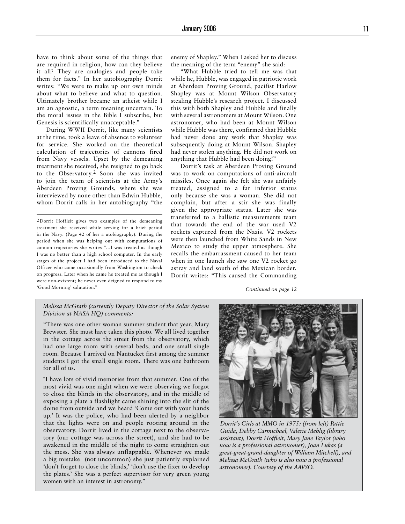have to think about some of the things that are required in religion, how can they believe it all? They are analogies and people take them for facts." In her autobiography Dorrit writes: "We were to make up our own minds about what to believe and what to question. Ultimately brother became an atheist while I am an agnostic, a term meaning uncertain. To the moral issues in the Bible I subscribe, but Genesis is scientifically unacceptable."

During WWII Dorrit, like many scientists at the time, took a leave of absence to volunteer for service. She worked on the theoretical calculation of trajectories of cannons fired from Navy vessels. Upset by the demeaning treatment she received, she resigned to go back to the Observatory.2 Soon she was invited to join the team of scientists at the Army's Aberdeen Proving Grounds, where she was interviewed by none other than Edwin Hubble, whom Dorrit calls in her autobiography "the

2Dorrit Hoffleit gives two examples of the demeaning treatment she received while serving for a brief period in the Navy. (Page 42 of her a utobiography). During the period when she was helping out with computations of cannon trajectories she writes "…I was treated as though I was no better than a high school computer. In the early stages of the project I had been introduced to the Naval Officer who came occasionally from Washington to check on progress. Later when he came he treated me as though I were non-existent; he never even deigned to respond to my 'Good Morning' salutation."

enemy of Shapley." When I asked her to discuss the meaning of the term "enemy" she said:

"What Hubble tried to tell me was that while he, Hubble, was engaged in patriotic work at Aberdeen Proving Ground, pacifist Harlow Shapley was at Mount Wilson Observatory stealing Hubble's research project. I discussed this with both Shapley and Hubble and finally with several astronomers at Mount Wilson. One astronomer, who had been at Mount Wilson while Hubble was there, confirmed that Hubble had never done any work that Shapley was subsequently doing at Mount Wilson. Shapley had never stolen anything. He did not work on anything that Hubble had been doing!"

Dorrit's task at Aberdeen Proving Ground was to work on computations of anti-aircraft missiles. Once again she felt she was unfairly treated, assigned to a far inferior status only because she was a woman. She did not complain, but after a stir she was finally given the appropriate status. Later she was transferred to a ballistic measurements team that towards the end of the war used V2 rockets captured from the Nazis. V2 rockets were then launched from White Sands in New Mexico to study the upper atmosphere. She recalls the embarrassment caused to her team when in one launch she saw one V2 rocket go astray and land south of the Mexican border. Dorrit writes: "This caused the Commanding

*Continued on page 12*

### *Melissa McGrath (currently Deputy Director of the Solar System Division at NASA HQ) comments:*

"There was one other woman summer student that year, Mary Brewster. She must have taken this photo. We all lived together in the cottage across the street from the observatory, which had one large room with several beds, and one small single room. Because I arrived on Nantucket first among the summer students I got the small single room. There was one bathroom for all of us.

"I have lots of vivid memories from that summer. One of the most vivid was one night when we were observing we forgot to close the blinds in the observatory, and in the middle of exposing a plate a flashlight came shining into the slit of the dome from outside and we heard 'Come out with your hands up.' It was the police, who had been alerted by a neighbor that the lights were on and people rooting around in the observatory. Dorrit lived in the cottage next to the observatory (our cottage was across the street), and she had to be awakened in the middle of the night to come straighten out the mess. She was always unflappable. Whenever we made a big mistake (not uncommon) she just patiently explained 'don't forget to close the blinds,' 'don't use the fixer to develop the plates.' She was a perfect supervisor for very green young women with an interest in astronomy."



*Dorrit's Girls at MMO in 1975: (from left) Pattie Guida, Debby Carmichael, Valerie Mehlig (library assistant), Dorrit Hoffleit, Mary Jane Taylor (who now is a professional astronomer), Joan Lukas (a great-great-grand-daughter of William Mitchell), and Melissa McGrath (who is also now a professional astronomer). Courtesy of the AAVSO.*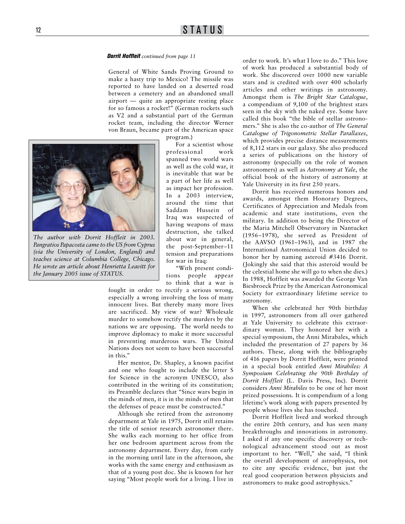#### *Dorrit Hoffleit continued from page 11*

General of White Sands Proving Ground to make a hasty trip to Mexico! The missile was reported to have landed on a deserted road between a cemetery and an abandoned small airport — quite an appropriate resting place for so famous a rocket!" (German rockets such as V2 and a substantial part of the German rocket team, including the director Werner von Braun, became part of the American space

program.)

For a scientist whose professional work spanned two world wars as well as the cold war, it is inevitable that war be a part of her life as well as impact her profession. In a 2003 interview, around the time that Saddam Hussein of Iraq was suspected of having weapons of mass destruction, she talked about war in general, the post-September–11 tension and preparations for war in Iraq: *(via the University of London, England) and teaches science at Columbia College, Chicago.* 

"With present conditions people appear to think that a war is

fought in order to rectify a serious wrong, especially a wrong involving the loss of many innocent lives. But thereby many more lives are sacrificed. My view of war? Wholesale murder to somehow rectify the murders by the nations we are opposing. The world needs to improve diplomacy to make it more successful in preventing murderous wars. The United Nations does not seem to have been successful in this."

Her mentor, Dr. Shapley, a known pacifist and one who fought to include the letter S for Science in the acronym UNESCO, also contributed in the writing of its constitution; its Preamble declares that "Since wars begin in the minds of men, it is in the minds of men that the defenses of peace must be constructed."

Although she retired from the astronomy department at Yale in 1975, Dorrit still retains the title of senior research astronomer there. She walks each morning to her office from her one bedroom apartment across from the astronomy department. Every day, from early in the morning until late in the afternoon, she works with the same energy and enthusiasm as that of a young post doc. She is known for her saying "Most people work for a living. I live in order to work. It's what I love to do." This love of work has produced a substantial body of work. She discovered over 1000 new variable stars and is credited with over 400 scholarly articles and other writings in astronomy. Amongst them is *The Bright Star Catalogue*, a compendium of 9,100 of the brightest stars seen in the sky with the naked eye. Some have called this book "the bible of stellar astronomers." She is also the co-author of *The General Catalogue of Trigonometric Stellar Parallaxes*, which provides precise distance measurements of 8,112 stars in our galaxy. She also produced a series of publications on the history of astronomy (especially on the role of women astronomers) as well as *Astronomy at Yale*, the official book of the history of astronomy at Yale University in its first 250 years.

Dorrit has received numerous honors and awards, amongst them Honorary Degrees, Certificates of Appreciation and Medals from academic and state institutions, even the military. In addition to being the Director of the Maria Mitchell Observatory in Nantucket (1956–1978), she served as President of the AAVSO (1961–1963), and in 1987 the International Astronomical Union decided to honor her by naming asteroid #3416 Dorrit. (Jokingly she said that this asteroid would be the celestial home she will go to when she dies.) In 1988, Hoffleit was awarded the George Van Biesbroeck Prize by the American Astronomical Society for extraordinary lifetime service to astronomy.

When she celebrated her 90th birthday in 1997, astronomers from all over gathered at Yale University to celebrate this extraordinary woman. They honored her with a special symposium, the Anni Mirabales, which included the presentation of 27 papers by 36 authors. These, along with the bibliography of 416 papers by Dorrit Hoffleit, were printed in a special book entitled *Anni Mirabiles: A Symposium Celebrating the 90th Birthday of Dorrit Hoffleit* (L. Davis Press, Inc). Dorrit considers *Anni Mirabiles* to be one of her most prized possessions. It is compendium of a long lifetime's work along with papers presented by people whose lives she has touched.

Dorrit Hoffleit lived and worked through the entire 20th century, and has seen many breakthroughs and innovations in astronomy. I asked if any one specific discovery or technological advancement stood out as most important to her. "Well," she said, "I think the overall development of astrophysics, not to cite any specific evidence, but just the real good cooperation between physicists and astronomers to make good astrophysics."



*He wrote an article about Henrietta Leavitt for* 

*the January 2005 issue of STATUS.*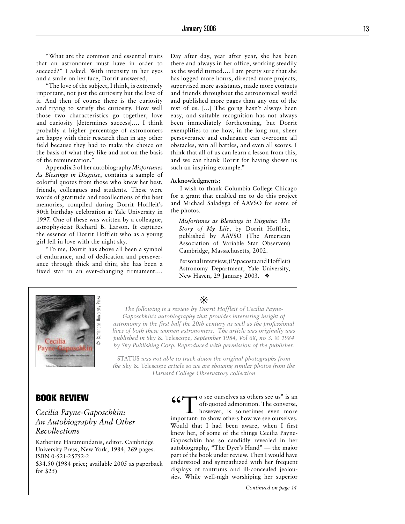"What are the common and essential traits that an astronomer must have in order to succeed?" I asked. With intensity in her eyes and a smile on her face, Dorrit answered,

"The love of the subject, I think, is extremely important, not just the curiosity but the love of it. And then of course there is the curiosity and trying to satisfy the curiosity. How well those two characteristics go together, love and curiosity [determines success]…. I think probably a higher percentage of astronomers are happy with their research than in any other field because they had to make the choice on the basis of what they like and not on the basis of the remuneration."

Appendix 3 of her autobiography *Misfortunes As Blessings in Disguise*, contains a sample of colorful quotes from those who knew her best, friends, colleagues and students. These were words of gratitude and recollections of the best memories, compiled during Dorrit Hoffleit's 90th birthday celebration at Yale University in 1997. One of these was written by a colleague, astrophysicist Richard B. Larson. It captures the essence of Dorrit Hoffleit who as a young girl fell in love with the night sky.

"To me, Dorrit has above all been a symbol of endurance, and of dedication and perseverance through thick and thin; she has been a fixed star in an ever-changing firmament…. Day after day, year after year, she has been there and always in her office, working steadily as the world turned…. I am pretty sure that she has logged more hours, directed more projects, supervised more assistants, made more contacts and friends throughout the astronomical world and published more pages than any one of the rest of us. […] The going hasn't always been easy, and suitable recognition has not always been immediately forthcoming, but Dorrit exemplifies to me how, in the long run, sheer perseverance and endurance can overcome all obstacles, win all battles, and even all scores. I think that all of us can learn a lesson from this, and we can thank Dorrit for having shown us such an inspiring example."

#### **Acknowledgments:**

I wish to thank Columbia College Chicago for a grant that enabled me to do this project and Michael Saladyga of AAVSO for some of the photos.

*Misfortunes as Blessings in Disguise: The Story of My Life*, by Dorrit Hoffleit, published by AAVSO (The American Association of Variable Star Observers) Cambridge, Massachusetts, 2002.

Personal interview, (Papacosta and Hoffleit) Astronomy Department, Yale University, New Haven, 29 January 2003. ❖



❊

*The following is a review by Dorrit Hoffleit of Cecilia Payne-Gaposchkin's autobiography that provides interesting insight of astronomy in the first half the 20th century as well as the professional lives of both these women astronomers. The article was originally was published in* Sky & Telescope*, September 1984, Vol 68, no 3. © 1984 by Sky Publishing Corp. Reproduced with permission of the publisher.*

STATUS *was not able to track down the original photographs from the* Sky & Telescope *article so we are showing similar photos from the Harvard College Observatory collection*

# BOOK REVIEW

# *Cecilia Payne-Gaposchkin: An Autobiography And Other Recollections*

Katherine Haramundanis, editor. Cambridge University Press, New York, 1984, 269 pages. ISBN 0-521-25752-2

\$34.50 (1984 price; available 2005 as paperback for \$25)

**66** To see ourselves as others see us" is an oft-quoted admonition. The converse, however, is sometimes even more oft-quoted admonition. The converse, however, is sometimes even more important: to show others how we see ourselves. Would that I had been aware, when I first knew her, of some of the things Cecilia Payne-Gaposchkin has so candidly revealed in her autobiography, "The Dyer's Hand" — the major part of the book under review. Then I would have understood and sympathized with her frequent displays of tantrums and ill-concealed jealousies. While well-nigh worshiping her superior

*Continued on page 14*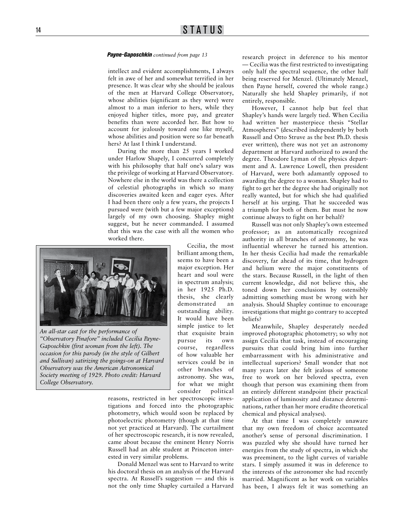#### *Payne-Gaposchkin continued from page 13*

intellect and evident accomplishments, I always felt in awe of her and somewhat terrified in her presence. It was clear why she should be jealous of the men at Harvard College Observatory, whose abilities (significant as they were) were almost to a man inferior to hers, while they enjoyed higher titles, more pay, and greater benefits than were accorded her. But how to account for jealously toward one like myself, whose abilities and position were so far beneath hers? At last I think I understand.

During the more than 25 years I worked under Harlow Shapely, I concurred completely with his philosophy that half one's salary was the privilege of working at Harvard Observatory. Nowhere else in the world was there a collection of celestial photographs in which so many discoveries awaited keen and eager eyes. After I had been there only a few years, the projects I pursued were (with but a few major exceptions) largely of my own choosing. Shapley might suggest, but he never commanded. I assumed that this was the case with all the women who worked there.



*An all-star cast for the performance of "Observatory Pinafore" included Cecilia Payne-Gaposchkin (first woman from the left). The occasion for this parody (in the style of Gilbert and Sullivan) satirizing the goings-on at Harvard Observatory was the American Astronomical Society meeting of 1929. Photo credit: Harvard College Observatory.*

Cecilia, the most brilliant among them, seems to have been a major exception. Her heart and soul were in spectrum analysis; in her 1925 Ph.D. thesis, she clearly demonstrated an outstanding ability. It would have been simple justice to let that exquisite brain pursue its own course, regardless of how valuable her services could be in other branches of astronomy. She was, for what we might consider political

reasons, restricted in her spectroscopic investigations and forced into the photographic photometry, which would soon be replaced by photoelectric photometry (though at that time not yet practiced at Harvard). The curtailment of her spectroscopic research, it is now revealed, came about because the eminent Henry Norris Russell had an able student at Princeton interested in very similar problems.

Donald Menzel was sent to Harvard to write his doctoral thesis on an analysis of the Harvard spectra. At Russell's suggestion — and this is not the only time Shapley curtailed a Harvard

research project in deference to his mentor — Cecilia was the first restricted to investigating only half the spectral sequence, the other half being reserved for Menzel. (Ultimately Menzel, then Payne herself, covered the whole range.) Naturally she held Shapley primarily, if not entirely, responsible.

However, I cannot help but feel that Shapley's hands were largely tied. When Cecilia had written her masterpiece thesis "Stellar Atmospheres" (described independently by both Russell and Otto Struve as the best Ph.D. thesis ever written), there was not yet an astronomy department at Harvard authorized to award the degree. Theodore Lyman of the physics department and A. Lawrence Lowell, then president of Harvard, were both adamantly opposed to awarding the degree to a woman. Shapley had to fight to get her the degree she had originally not really wanted, but for which she had qualified herself at his urging. That he succeeded was a triumph for both of them. But must he now continue always to fight on her behalf?

Russell was not only Shapley's own esteemed professor; as an automatically recognized authority in all branches of astronomy, he was influential wherever he turned his attention. In her thesis Cecilia had made the remarkable discovery, far ahead of its time, that hydrogen and helium were the major constituents of the stars. Because Russell, in the light of then current knowledge, did not believe this, she toned down her conclusions by ostensibly admitting something must be wrong with her analysis. Should Shapley continue to encourage investigations that might go contrary to accepted beliefs?

Meanwhile, Shapley desperately needed improved photographic photometry; so why not assign Cecilia that task, instead of encouraging pursuits that could bring him into further embarrassment with his administrative and intellectual superiors? Small wonder that not many years later she felt jealous of someone free to work on her beloved spectra, even though that person was examining them from an entirely different standpoint (their practical application of luminosity and distance determinations, rather than her more erudite theoretical chemical and physical analyses).

At that time I was completely unaware that my own freedom of choice accentuated another's sense of personal discrimination. I was puzzled why she should have turned her energies from the study of spectra, in which she was preeminent, to the light curves of variable stars. I simply assumed it was in deference to the interests of the astronomer she had recently married. Magnificent as her work on variables has been, I always felt it was something an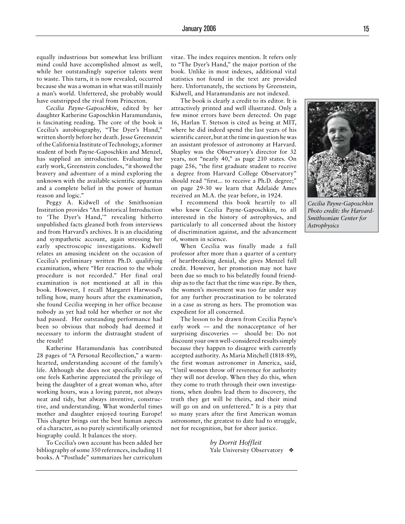equally industrious but somewhat less brilliant mind could have accomplished almost as well, while her outstandingly superior talents went to waste. This turn, it is now revealed, occurred because she was a woman in what was still mainly a man's world. Unfettered, she probably would have outstripped the rival from Princeton.

*Cecilia Payne-Gaposchkin*, edited by her daughter Katherine Gaposchkin Haramundanis, is fascinating reading. The core of the book is Cecilia's autobiography, "The Dyer's Hand," written shortly before her death. Jesse Greenstein of the California Institute of Technology, a former student of both Payne-Gaposchkin and Menzel, has supplied an introduction. Evaluating her early work, Greenstein concludes, "it showed the bravery and adventure of a mind exploring the unknown with the available scientific apparatus and a complete belief in the power of human reason and logic."

Peggy A. Kidwell of the Smithsonian Institution provides "An Historical Introduction to 'The Dyer's Hand,'" revealing hitherto unpublished facts gleaned both from interviews and from Harvard's archives. It is an elucidating and sympathetic account, again stressing her early spectroscopic investigations. Kidwell relates an amusing incident on the occasion of Cecilia's preliminary written Ph.D. qualifying examination, where "Her reaction to the whole procedure is not recorded." Her final oral examination is not mentioned at all in this book. However, I recall Margaret Harwood's telling how, many hours after the examination, she found Cecilia weeping in her office because nobody as yet had told her whether or not she had passed. Her outstanding performance had been so obvious that nobody had deemed it necessary to inform the distraught student of the result!

Katherine Haramundanis has contributed 28 pages of "A Personal Recollection," a warmhearted, understanding account of the family's life. Although she does not specifically say so, one feels Katherine appreciated the privilege of being the daughter of a great woman who, after working hours, was a loving parent, not always neat and tidy, but always inventive, constructive, and understanding. What wonderful times mother and daughter enjoyed touring Europe! This chapter brings out the best human aspects of a character, as no purely scientifically oriented biography could. It balances the story.

To Cecilia's own account has been added her bibliography of some 350 references, including 11 books. A "Postlude" summarizes her curriculum vitae. The index requires mention. It refers only to "The Dyer's Hand," the major portion of the book. Unlike in most indexes, additional vital statistics not found in the text are provided here. Unfortunately, the sections by Greenstein, Kidwell, and Haramundanis are not indexed.

The book is clearly a credit to its editor. It is attractively printed and well illustrated. Only a few minor errors have been detected. On page 16, Harlan T. Stetson is cited as being at MIT, where he did indeed spend the last years of his scientific career, but at the time in question he was an assistant professor of astronomy at Harvard. Shapley was the Observatory's director for 32 years, not "nearly 40," as page 210 states. On page 256, "the first graduate student to receive a degree from Harvard College Observatory" should read "first... to receive a Ph.D. degree;" on page 29-30 we learn that Adelaide Ames received an M.A. the year before, in 1924.

I recommend this book heartily to all who knew Cecilia Payne-Gaposchkin, to all interested in the history of astrophysics, and particularly to all concerned about the history of discrimination against, and the advancement of, women in science.



The lesson to be drawn from Cecilia Payne's early work — and the nonacceptance of her surprising discoveries — should be: Do not discount your own well-considered results simply because they happen to disagree with currently accepted authority. As Maria Mitchell (1818-89), the first woman astronomer in America, said, "Until women throw off reverence for authority they will not develop. When they do this, when they come to truth through their own investigations, when doubts lead them to discovery, the truth they get will be theirs, and their mind will go on and on unfettered." It is a pity that so many years after the first American woman astronomer, the greatest to date had to struggle, not for recognition, but for sheer justice.

> *by Dorrit Hoffleit* Yale University Observatory ♦

*Cecilia Payne-Gaposchkin Photo credit: the Harvard-*

*Smithsonian Center for Astrophysics*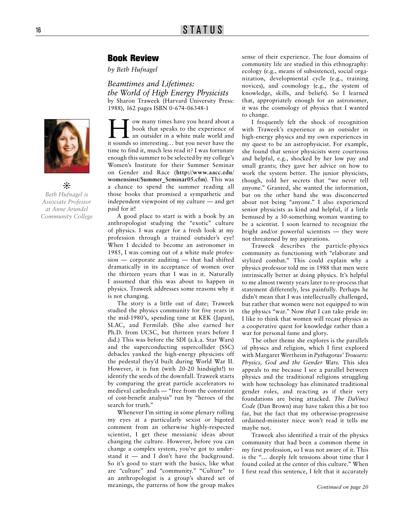# Book Review

*by Beth Hufnagel*

*Beamtimes and Lifetimes: the World of High Energy Physicists*  by Sharon Traweek (Harvard University Press: 1988), 162 pages ISBN 0-674-06348-1



❊

*Beth Hufnagel is Associate Professor at Anne Arundel Community College* 

**How many times have you heard about a**<br>
an outsider in a white male world and<br>
it counds so interesting but you never have the book that speaks to the experience of it sounds so interesting… but you never have the time to find it, much less read it? I was fortunate enough this summer to be selected by my college's Women's Institute for their Summer Seminar on Gender and Race (**http://www.aacc.edu/ womensinst/Summer\_Seminar05.cfm**). This was a chance to spend the summer reading all those books that promised a sympathetic and independent viewpoint of my culture — and get paid for it!

A good place to start is with a book by an anthropologist studying the "exotic" culture of physics. I was eager for a fresh look at my profession through a trained outsider's eye! When I decided to become an astronomer in 1985, I was coming out of a white male profession — corporate auditing — that had shifted dramatically in its acceptance of women over the thirteen years that I was in it. Naturally I assumed that this was about to happen in physics. Traweek addresses some reasons why it is not changing.

The story is a little out of date; Traweek studied the physics community for five years in the mid-1980's, spending time at KEK (Japan), SLAC, and Fermilab. (She also earned her Ph.D. from UCSC, but thirteen years before I did.) This was before the SDI (a.k.a. Star Wars) and the superconducting supercollider (SSC) debacles yanked the high-energy physicists off the pedestal they'd built during World War II. However, it is fun (with 20-20 hindsight!) to identify the seeds of the downfall. Traweek starts by comparing the great particle accelerators to medieval cathedrals — "free from the constraint of cost-benefit analysis" run by "heroes of the search for truth."

Whenever I'm sitting in some plenary rolling my eyes at a particularly sexist or bigoted comment from an otherwise highly-respected scientist, I get these messianic ideas about changing the culture. However, before you can change a complex system, you've got to understand it — and I don't have the background. So it's good to start with the basics, like what are "culture" and "community." "Culture" to an anthropologist is a group's shared set of meanings, the patterns of how the group makes sense of their experience. The four domains of community life are studied in this ethnography: ecology (e.g., means of subsistence), social organization, developmental cycle (e.g., training novices), and cosmology (e.g., the system of knowledge, skills, and beliefs). So I learned that, appropriately enough for an astronomer, it was the cosmology of physics that I wanted to change.

I frequently felt the shock of recognition with Traweek's experience as an outsider in high-energy physics and my own experiences in my quest to be an astrophysicist. For example, she found that senior physicists were courteous and helpful, e.g., shocked by her low pay and small grants; they gave her advice on how to work the system better. The junior physicists, though, told her secrets that "we never tell anyone." Granted, she wanted the information, but on the other hand she was disconcerted about not being "anyone." I also experienced senior physicists as kind and helpful, if a little bemused by a 30-something woman wanting to be a scientist. I soon learned to recognize the bright and/or powerful scientists — they were not threatened by my aspirations.

Traweek describes the particle-physics community as functioning with "elaborate and stylized combat." This could explain why a physics professor told me in 1988 that men were intrinsically better at doing physics. It's helpful to me almost twenty years later to re-process that statement differently, less painfully. Perhaps he didn't mean that I was intellectually challenged, but rather that women were not equipped to win the physics "war." Now *that* I can take pride in: I like to think that women will recast physics as a cooperative quest for knowledge rather than a war for personal fame and glory.

The other theme she explores is the parallels of physics and religion, which I first explored with Margaret Wertheim in *Pythagoras' Trousers: Physics, God and the Gender Wars.* This idea appeals to me because I see a parallel between physics and the traditional religions struggling with how technology has eliminated traditional gender roles, and reacting as if their very foundations are being attacked. *The DaVinci Code* (Dan Brown) may have taken this a bit too far, but the fact that my otherwise-progressive ordained-minister niece won't read it tells me maybe not.

Traweek also identified a trait of the physics community that had been a common theme in my first profession, so I was not aware of it. This is the "… deeply felt tensions about time that I found coiled at the center of this culture." When I first read this sentence, I felt that it accurately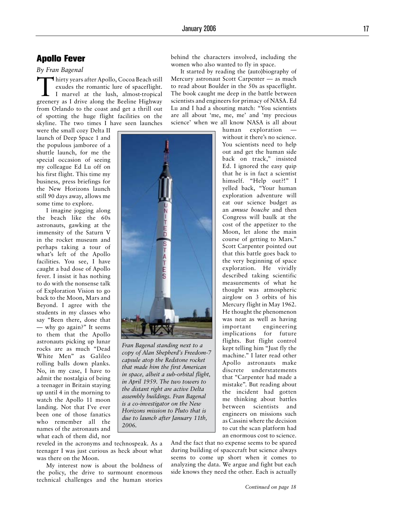# Apollo Fever

#### *By Fran Bagenal*

Thirty years after Apollo, Cocoa Beach still exudes the romantic lure of spaceflight. I marvel at the lush, almost-tropical greenery as I drive along the Beeline Highway from Orlando to the coast and get a thrill out of spotting the huge flight facilities on the skyline. The two times I have seen launches

were the small cozy Delta II launch of Deep Space 1 and the populous jamboree of a shuttle launch, for me the special occasion of seeing my colleague Ed Lu off on his first flight. This time my business, press briefings for the New Horizons launch still 90 days away, allows me some time to explore.

I imagine jogging along the beach like the 60s astronauts, gawking at the immensity of the Saturn V in the rocket museum and perhaps taking a tour of what's left of the Apollo facilities. You see, I have caught a bad dose of Apollo fever. I insist it has nothing to do with the nonsense talk of Exploration Vision to go back to the Moon, Mars and Beyond. I agree with the students in my classes who say "Been there, done that — why go again?" It seems to them that the Apollo astronauts picking up lunar rocks are as much "Dead White Men" as Galileo rolling balls down planks. No, in my case, I have to admit the nostalgia of being a teenager in Britain staying up until 4 in the morning to watch the Apollo 11 moon landing. Not that I've ever been one of those fanatics who remember all the names of the astronauts and what each of them did, nor



*Fran Bagenal standing next to a copy of Alan Shepherd's Freedom-7 capsule atop the Redstone rocket that made him the first American in space, albeit a sub-orbital flight, in April 1959. The two towers to the distant right are active Delta assembly buildings. Fran Bagenal is a co-investigator on the New Horizons mission to Pluto that is due to launch after January 11th, 2006.*

reveled in the acronyms and technospeak. As a teenager I was just curious as heck about what was there on the Moon.

My interest now is about the boldness of the policy, the drive to surmount enormous technical challenges and the human stories behind the characters involved, including the women who also wanted to fly in space.

It started by reading the (auto)biography of Mercury astronaut Scott Carpenter — as much to read about Boulder in the 50s as spaceflight. The book caught me deep in the battle between scientists and engineers for primacy of NASA. Ed Lu and I had a shouting match: "You scientists are all about 'me, me, me' and 'my precious science' when we all know NASA is all about

> human exploration without it there's no science. You scientists need to help out and get the human side back on track," insisted Ed. I ignored the easy quip that he is in fact a scientist himself. "Help out?!" I yelled back, "Your human exploration adventure will eat our science budget as an *amuse bouche* and then Congress will baulk at the cost of the appetizer to the Moon, let alone the main course of getting to Mars." Scott Carpenter pointed out that this battle goes back to the very beginning of space exploration. He vividly described taking scientific measurements of what he thought was atmospheric airglow on 3 orbits of his Mercury flight in May 1962. He thought the phenomenon was neat as well as having important engineering implications for future flights. But flight control kept telling him "Just fly the machine." I later read other Apollo astronauts make discrete understatements that "Carpenter had made a mistake". But reading about the incident had gotten me thinking about battles between scientists and engineers on missions such as Cassini where the decision to cut the scan platform had an enormous cost to science.

And the fact that no expense seems to be spared during building of spacecraft but science always seems to come up short when it comes to analyzing the data. We argue and fight but each side knows they need the other. Each is actually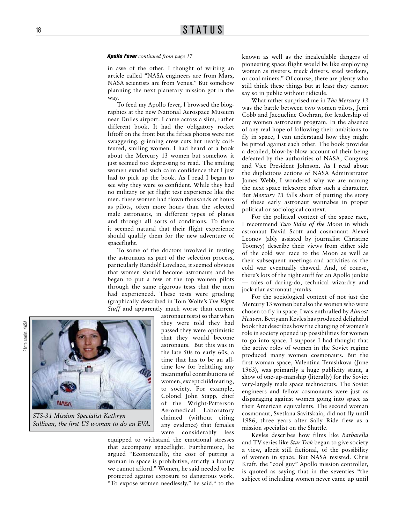#### *Apollo Fever continued from page 17*

in awe of the other. I thought of writing an article called "NASA engineers are from Mars, NASA scientists are from Venus." But somehow planning the next planetary mission got in the way.

To feed my Apollo fever, I browsed the biographies at the new National Aerospace Museum near Dulles airport. I came across a slim, rather different book. It had the obligatory rocket liftoff on the front but the fifties photos were not swaggering, grinning crew cuts but neatly coiffeured, smiling women. I had heard of a book about the Mercury 13 women but somehow it just seemed too depressing to read. The smiling women exuded such calm confidence that I just had to pick up the book. As I read I began to see why they were so confident. While they had no military or jet flight test experience like the men, these women had flown thousands of hours as pilots, often more hours than the selected male astronauts, in different types of planes and through all sorts of conditions. To them it seemed natural that their flight experience should qualify them for the new adventure of spaceflight.

To some of the doctors involved in testing the astronauts as part of the selection process, particularly Randolf Lovelace, it seemed obvious that women should become astronauts and he began to put a few of the top women pilots through the same rigorous tests that the men had experienced. These tests were grueling (graphically described in Tom Wolfe's *The Right Stuff* and apparently much worse than current

Musy

*STS-31 Mission Specialist Kathryn Sullivan, the first US woman to do an EVA.* 

astronaut tests) so that when they were told they had passed they were optimistic that they would become astronauts. But this was in the late 50s to early 60s, a time that has to be an alltime low for belittling any meaningful contributions of women, except childrearing, to society. For example, Colonel John Stapp, chief of the Wright-Patterson Aeromedical Laboratory claimed (without citing any evidence) that females were considerably less

equipped to withstand the emotional stresses that accompany spaceflight. Furthermore, he argued "Economically, the cost of putting a woman in space is prohibitive, strictly a luxury we cannot afford." Women, he said needed to be protected against exposure to dangerous work. "To expose women needlessly," he said," to the known as well as the incalculable dangers of pioneering space flight would be like employing women as riveters, truck drivers, steel workers, or coal miners." Of course, there are plenty who still think these things but at least they cannot say so in public without ridicule.

What rather surprised me in *The Mercury 13*  was the battle between two women pilots, Jerri Cobb and Jacqueline Cochran, for leadership of any women astronauts program. In the absence of any real hope of following their ambitions to fly in space, I can understand how they might be pitted against each other. The book provides a detailed, blow-by-blow account of their being defeated by the authorities of NASA, Congress and Vice President Johnson. As I read about the duplicitous actions of NASA Administrator James Webb, I wondered why we are naming the next space telescope after such a character. But *Mercury 13* falls short of putting the story of these early astronaut wannabes in proper political or sociological context.

For the political context of the space race, I recommend *Two Sides of the Moon* in which astronaut David Scott and cosmonaut Alexei Leonov (ably assisted by journalist Christine Toomey) describe their views from either side of the cold war race to the Moon as well as their subsequent meetings and activities as the cold war eventually thawed. And, of course, there's lots of the right stuff for an Apollo junkie — tales of daring-do, technical wizardry and jock-ular astronaut pranks.

For the sociological context of not just the Mercury 13 women but also the women who were chosen to fly in space, I was enthralled by *Almost Heaven*. Bettyann Kevles has produced delightful book that describes how the changing of women's role in society opened up possibilities for women to go into space. I suppose I had thought that the active roles of women in the Soviet regime produced many women cosmonauts. But the first woman space, Valentina Terashkova (June 1963), was primarily a huge publicity stunt, a show of one-up-manship (literally) for the Soviet very-largely male space technocrats. The Soviet engineers and fellow cosmonauts were just as disparaging against women going into space as their American equivalents. The second woman cosmonaut, Svetlana Savitskaia, did not fly until 1986, three years after Sally Ride flew as a mission specialist on the Shuttle.

Kevles describes how films like *Barbarella* and TV series like *Star Trek* began to give society a view, albeit still fictional, of the possibility of women in space. But NASA resisted. Chris Kraft, the "cool guy" Apollo mission controller, is quoted as saying that in the seventies "the subject of including women never came up until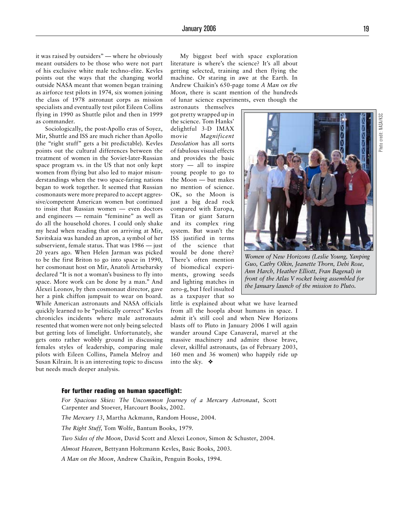it was raised by outsiders" — where he obviously meant outsiders to be those who were not part of his exclusive white male techno-elite. Kevles points out the ways that the changing world outside NASA meant that women began training as airforce test pilots in 1974, six women joining the class of 1978 astronaut corps as mission specialists and eventually test pilot Eileen Collins flying in 1990 as Shuttle pilot and then in 1999 as commander.

Sociologically, the post-Apollo eras of Soyez, Mir, Shuttle and ISS are much richer than Apollo (the "right stuff" gets a bit predictable). Kevles points out the cultural differences between the treatment of women in the Soviet-later-Russian space program vs. in the US that not only kept women from flying but also led to major misunderstandings when the two space-faring nations began to work together. It seemed that Russian cosmonauts were more prepared to accept aggressive/competent American women but continued to insist that Russian women — even doctors and engineers — remain "feminine" as well as do all the household chores. I could only shake my head when reading that on arriving at Mir, Savitskaia was handed an apron, a symbol of her subservient, female status. That was 1986 — just 20 years ago. When Helen Jarman was picked to be the first Briton to go into space in 1990, her cosmonaut host on Mir, Anatoli Artsebarsky declared "It is not a woman's business to fly into space. More work can be done by a man." And Alexei Leonov, by then cosmonaut director, gave her a pink chiffon jumpsuit to wear on board. While American astronauts and NASA officials quickly learned to be "politically correct" Kevles chronicles incidents where male astronauts resented that women were not only being selected but getting lots of limelight. Unfortunately, she gets onto rather wobbly ground in discussing females styles of leadership, comparing male pilots with Eileen Collins, Pamela Melroy and Susan Kilrain. It is an interesting topic to discuss but needs much deeper analysis.

My biggest beef with space exploration literature is where's the science? It's all about getting selected, training and then flying the machine. Or staring in awe at the Earth. In Andrew Chaikin's 650-page tome *A Man on the Moon*, there is scant mention of the hundreds of lunar science experiments, even though the astronauts themselves

got pretty wrapped up in the science. Tom Hanks' delightful 3-D IMAX movie *Magnificent Desolation* has all sorts of fabulous visual effects and provides the basic story — all to inspire young people to go to the Moon — but makes no mention of science. OK, so the Moon is just a big dead rock compared with Europa, Titan or giant Saturn and its complex ring system. But wasn't the ISS justified in terms of the science that would be done there? There's often mention of biomedical experiments, growing seeds and lighting matches in zero-g, but I feel insulted as a taxpayer that so

little is explained about what we have learned from all the hoopla about humans in space. I admit it's still cool and when New Horizons blasts off to Pluto in January 2006 I will again wander around Cape Canaveral, marvel at the massive machinery and admire those brave, clever, skillful astronauts, (as of February 2003, 160 men and 36 women) who happily ride up into the sky. ❖

#### For further reading on human spaceflight:

*For Spacious Skies: The Uncommon Journey of a Mercury Astronaut*, Scott Carpenter and Stoever, Harcourt Books, 2002.

*The Mercury 13*, Martha Ackmann, Random House, 2004.

*The Right Stuff*, Tom Wolfe, Bantum Books, 1979.

*Two Sides of the Moon*, David Scott and Alexei Leonov, Simon & Schuster, 2004.

*Almost Heaven*, Bettyann Holtzmann Kevles, Basic Books, 2003.

*A Man on the Moon*, Andrew Chaikin, Penguin Books, 1994.

*Women of New Horizons (Leslie Young, Yanping Guo, Cathy Olkin, Jeanette Thorn, Debi Rose, Ann Harch, Heather Elliott, Fran Bagenal) in* 

*front of the Atlas V rocket being assembled for the January launch of the mission to Pluto.* 



Photo credit: NASA/KSCPhoto credit: NASA/KSD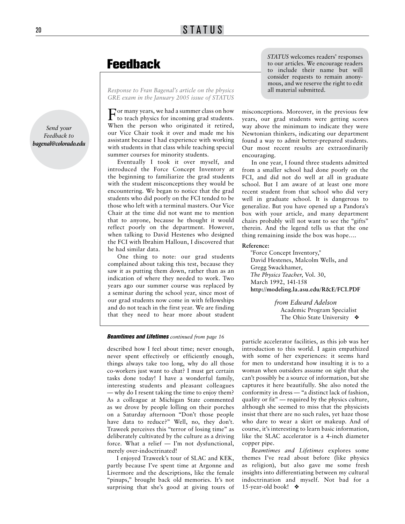# Feedback

*Response to Fran Bagenal's article on the physics GRE exam in the January 2005 issue of STATUS* 

For many years, we had a summer class on how to teach physics for incoming grad students. When the person who originated it retired, our Vice Chair took it over and made me his assistant because I had experience with working with students in that class while teaching special summer courses for minority students.

Eventually I took it over myself, and introduced the Force Concept Inventory at the beginning to familiarize the grad students with the student misconceptions they would be encountering. We began to notice that the grad students who did poorly on the FCI tended to be those who left with a terminal masters. Our Vice Chair at the time did not want me to mention that to anyone, because he thought it would reflect poorly on the department. However, when talking to David Hestenes who designed the FCI with Ibrahim Halloun, I discovered that he had similar data.

One thing to note: our grad students complained about taking this test, because they saw it as putting them down, rather than as an indication of where they needed to work. Two years ago our summer course was replaced by a seminar during the school year, since most of our grad students now come in with fellowships and do not teach in the first year. We are finding that they need to hear more about student *STATUS* welcomes readers' responses to our articles. We encourage readers to include their name but will consider requests to remain anonymous, and we reserve the right to edit all material submitted.

misconceptions. Moreover, in the previous few years, our grad students were getting scores way above the minimum to indicate they were Newtonian thinkers, indicating our department found a way to admit better-prepared students. Our most recent results are extraordinarily encouraging.

In one year, I found three students admitted from a smaller school had done poorly on the FCI, and did not do well at all in graduate school. But I am aware of at least one more recent student from that school who did very well in graduate school. It is dangerous to generalize. But you have opened up a Pandora's box with your article, and many department chairs probably will not want to see the "gifts" therein. And the legend tells us that the one thing remaining inside the box was hope….

#### **Reference:**

"Force Concept Inventory," David Hestenes, Malcolm Wells, and Gregg Swackhamer, *The Physics Teacher*, Vol. 30, March 1992, 141-158 **http://modeling.la.asu.edu/R&E/FCI.PDF**

> *from Edward Adelson* Academic Program Specialist The Ohio State University ❖

#### *Beamtimes and Lifetimes continued from page 16*

described how I feel about time; never enough, never spent effectively or efficiently enough, things always take too long, why do all those co-workers just want to chat? I must get certain tasks done today! I have a wonderful family, interesting students and pleasant colleagues — why do I resent taking the time to enjoy them? As a colleague at Michigan State commented as we drove by people lolling on their porches on a Saturday afternoon "Don't those people have data to reduce?" Well, no, they don't. Traweek perceives this "terror of losing time" as deliberately cultivated by the culture as a driving force. What a relief — I'm not dysfunctional, merely over-indoctrinated!

I enjoyed Traweek's tour of SLAC and KEK, partly because I've spent time at Argonne and Livermore and the descriptions, like the female "pinups," brought back old memories. It's not surprising that she's good at giving tours of

particle accelerator facilities, as this job was her introduction to this world. I again empathized with some of her experiences: it seems hard for men to understand how insulting it is to a woman when outsiders assume on sight that she can't possibly be a source of information, but she captures it here beautifully. She also noted the conformity in dress — "a distinct lack of fashion, quality or fit" — required by the physics culture, although she seemed to miss that the physicists insist that there are no such rules, yet haze those who dare to wear a skirt or makeup. And of course, it's interesting to learn basic information, like the SLAC accelerator is a 4-inch diameter copper pipe.

*Beamtimes and Lifetimes* explores some themes I've read about before (like physics as religion), but also gave me some fresh insights into differentiating between my cultural indoctrination and myself. Not bad for a 15-year-old book! ❖

*Send your Feedback to bagenal@colorado.edu*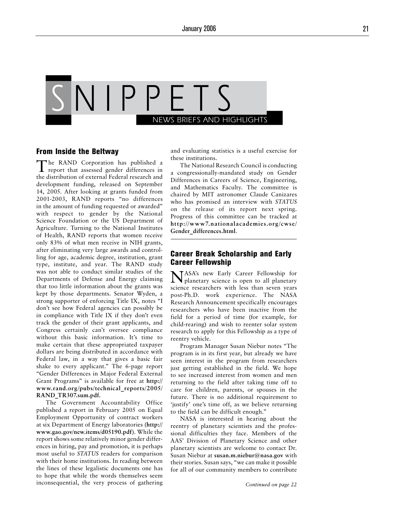

### From Inside the Beltway

The RAND Corporation has published a report that assessed gender differences in the distribution of external Federal research and development funding, released on September 14, 2005. After looking at grants funded from 2001-2003, RAND reports "no differences in the amount of funding requested or awarded" with respect to gender by the National Science Foundation or the US Department of Agriculture. Turning to the National Institutes of Health, RAND reports that women receive only 83% of what men receive in NIH grants, after eliminating very large awards and controlling for age, academic degree, institution, grant type, institute, and year. The RAND study was not able to conduct similar studies of the Departments of Defense and Energy claiming that too little information about the grants was kept by those departments. Senator Wyden, a strong supporter of enforcing Title IX, notes "I don't see how Federal agencies can possibly be in compliance with Title IX if they don't even track the gender of their grant applicants, and Congress certainly can't oversee compliance without this basic information. It's time to make certain that these appropriated taxpayer dollars are being distributed in accordance with Federal law, in a way that gives a basic fair shake to every applicant." The 6-page report "Gender Differences in Major Federal External Grant Programs" is available for free at **http:// www.rand.org/pubs/technical\_reports/2005/ RAND\_TR307.sum.pdf.**

The Government Accountability Office published a report in February 2005 on Equal Employment Opportunity of contract workers at six Department of Energy laboratories (**http:// www.gao.gov/new.items/d05190.pdf**). While the report shows some relatively minor gender differences in hiring, pay and promotion, it is perhaps most useful to *STATUS* readers for comparison with their home institutions. In reading between the lines of these legalistic documents one has to hope that while the words themselves seem inconsequential, the very process of gathering and evaluating statistics is a useful exercise for these institutions.

The National Research Council is conducting a congressionally-mandated study on Gender Differences in Careers of Science, Engineering, and Mathematics Faculty. The committee is chaired by MIT astronomer Claude Canizares who has promised an interview with *STATUS*  on the release of its report next spring. Progress of this committee can be tracked at **http://www7.nationalacademies.org/cwse/ Gender\_differences.html**.

# Career Break Scholarship and Early Career Fellowship

NASA's new Early Career Fellowship for planetary science is open to all planetary science researchers with less than seven years post-Ph.D. work experience. The NASA Research Announcement specifically encourages researchers who have been inactive from the field for a period of time (for example, for child-rearing) and wish to reenter solar system research to apply for this Fellowship as a type of reentry vehicle.

Program Manager Susan Niebur notes "The program is in its first year, but already we have seen interest in the program from researchers just getting established in the field. We hope to see increased interest from women and men returning to the field after taking time off to care for children, parents, or spouses in the future. There is no additional requirement to 'justify' one's time off, as we believe returning to the field can be difficult enough."

NASA is interested in hearing about the reentry of planetary scientists and the professional difficulties they face. Members of the AAS' Division of Planetary Science and other planetary scientists are welcome to contact Dr. Susan Niebur at **susan.m.niebur@nasa.gov** with their stories. Susan says, "we can make it possible for all of our community members to contribute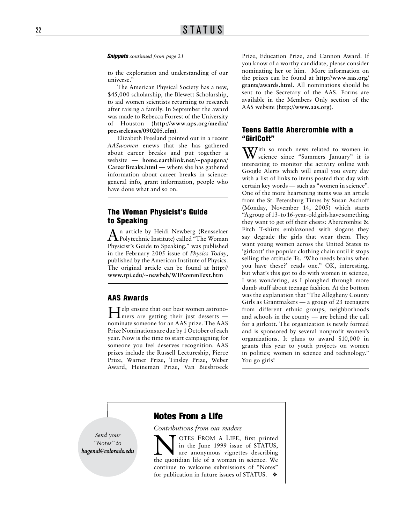to the exploration and understanding of our universe."

The American Physical Society has a new, \$45,000 scholarship, the Blewett Scholarship, to aid women scientists returning to research after raising a family. In September the award was made to Rebecca Forrest of the University of Houston (**http://www.aps.org/media/ pressreleases/090205.cfm**).

Elizabeth Freeland pointed out in a recent *AASwomen* enews that she has gathered about career breaks and put together a website — **home.earthlink.net/~papagena/ CareerBreaks.html** — where she has gathered information about career breaks in science: general info, grant information, people who have done what and so on.

# The Woman Physicist's Guide to Speaking

An article by Heidi Newberg (Rensselaer Polytechnic Institute) called "The Woman Physicist's Guide to Speaking," was published in the February 2005 issue of *Physics Today*, published by the American Institute of Physics. The original article can be found at **http:// www.rpi.edu/~newbeh/WIPcommText.htm**

## AAS Awards

Help ensure that our best women astrono-mers are getting their just desserts nominate someone for an AAS prize. The AAS Prize Nominations are due by 1 October of each year. Now is the time to start campaigning for someone you feel deserves recognition. AAS prizes include the Russell Lectureship, Pierce Prize, Warner Prize, Tinsley Prize, Weber Award, Heineman Prize, Van Biesbroeck

**Snippets** *continued from page 21* Prize, Education Prize, and Cannon Award. If you know of a worthy candidate, please consider nominating her or him. More information on the prizes can be found at **http://www.aas.org/ grants/awards.html**. All nominations should be sent to the Secretary of the AAS. Forms are available in the Members Only section of the AAS website (**http://www.aas.org**).

## Teens Battle Abercrombie with a "GirlCott"

 $\mathbf{W}$ ith so much news related to women in science since "Summers January" it is interesting to monitor the activity online with Google Alerts which will email you every day with a list of links to items posted that day with certain key words — such as "women in science". One of the more heartening items was an article from the St. Petersburg Times by Susan Aschoff (Monday, November 14, 2005) which starts "A group of 13- to 16-year-old girls have something they want to get off their chests: Abercrombie & Fitch T-shirts emblazoned with slogans they say degrade the girls that wear them. They want young women across the United States to 'girlcott' the popular clothing chain until it stops selling the attitude Ts. 'Who needs brains when you have these?' reads one." OK, interesting, but what's this got to do with women in science, I was wondering, as I ploughed through more dumb stuff about teenage fashion. At the bottom was the explanation that "The Allegheny County Girls as Grantmakers — a group of 23 teenagers from different ethnic groups, neighborhoods and schools in the county — are behind the call for a girlcott. The organization is newly formed and is sponsored by several nonprofit women's organizations. It plans to award \$10,000 in grants this year to youth projects on women in politics; women in science and technology." You go girls!

*Send your "Notes" to bagenal@colorado.edu*

# Notes From a Life

*Contributions from our readers*

N OTES FROM A LIFE, first printed<br>in the June 1999 issue of STATUS,<br>the quotidian life of a woman in science. We in the June 1999 issue of STATUS, are anonymous vignettes describing the quotidian life of a woman in science. We continue to welcome submissions of "Notes" for publication in future issues of STATUS. ❖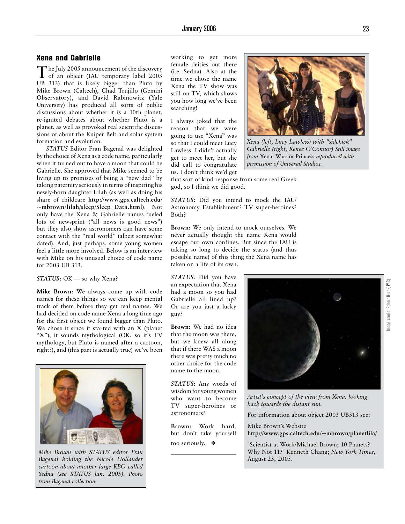# Xena and Gabrielle

The July 2005 announcement of the discovery of an object (IAU temporary label 2003 UB 313) that is likely bigger than Pluto by Mike Brown (Caltech), Chad Trujillo (Gemini Observatory), and David Rabinowitz (Yale University) has produced all sorts of public discussions about whether it is a 10th planet, re-ignited debates about whether Pluto is a planet, as well as provoked real scientific discussions of about the Kuiper Belt and solar system formation and evolution.

*STATUS* Editor Fran Bagenal was delighted by the choice of Xena as a code name, particularly when it turned out to have a moon that could be Gabrielle. She approved that Mike seemed to be living up to promises of being a "new dad" by taking paternity seriously in terms of inspiring his newly-born daughter Lilah (as well as doing his share of childcare **http://www.gps.caltech.edu/ ~mbrown/lilah/sleep/Sleep\_Data.html**). Not only have the Xena & Gabrielle names fueled lots of newsprint ("all news is good news") but they also show astronomers can have some contact with the "real world" (albeit somewhat dated). And, just perhaps, some young women feel a little more involved. Below is an interview with Mike on his unusual choice of code name for 2003 UB 313.

#### **STATUS**: OK — so why Xena?

**Mike Brown:** We always come up with code names for these things so we can keep mental track of them before they get real names. We had decided on code name Xena a long time ago for the first object we found bigger than Pluto. We chose it since it started with an X (planet "X"), it sounds mythological (OK, so it's TV mythology, but Pluto is named after a cartoon, right?), and (this part is actually true) we've been



*Mike Brown with STATUS editor Fran Bagenal holding the Nicole Hollander cartoon about another large KBO called Sedna (see STATUS Jan. 2005). Photo from Bagenal collection.*

working to get more female deities out there (i.e. Sedna). Also at the time we chose the name Xena the TV show was still on TV, which shows you how long we've been searching!

I always joked that the reason that we were going to use "Xena" was so that I could meet Lucy Lawless. I didn't actually get to meet her, but she did call to congratulate us. I don't think we'd get



*Xena (left, Lucy Lawless) with "sidekick" Gabrielle (right, Renee O'Connor) Still image from* Xena: Warrior Princess *reproduced with permission of Universal Studios.*

that sort of kind response from some real Greek god, so I think we did good.

*STATUS***:** Did you intend to mock the IAU/ Astronomy Establishment? TV super-heroines? Both?

**Brown:** We only intend to mock ourselves. We never actually thought the name Xena would escape our own confines. But since the IAU is taking so long to decide the status (and thus possible name) of this thing the Xena name has taken on a life of its own.

*STATUS*: Did you have an expectation that Xena had a moon so you had Gabrielle all lined up? Or are you just a lucky guy?

**Brown:** We had no idea that the moon was there, but we knew all along that if there WAS a moon there was pretty much no other choice for the code name to the moon.

*STATUS***:** Any words of wisdom for young women who want to become TV super-heroines or astronomers?

**Brown:** Work hard, but don't take yourself too seriously. ❖



*Artist's concept of the view from Xena, looking back towards the distant sun.* 

For information about object 2003 UB313 see:

Mike Brown's Website **http://www.gps.caltech.edu/~mbrown/planetlila/**

"Scientist at Work/Michael Brown; 10 Planets? Why Not 11?" Kenneth Chang; *New York Times*, August 23, 2005.